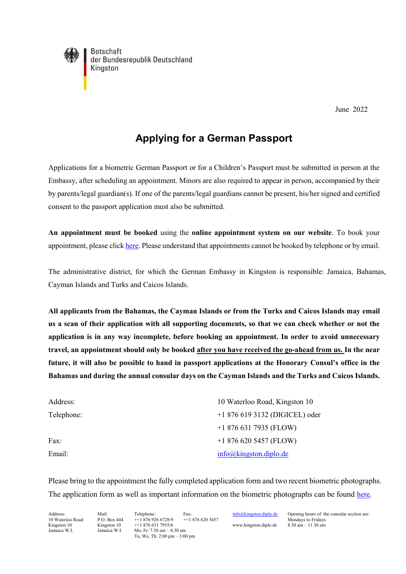**Botschaft** der Bundesrepublik Deutschland Kingston

June 2022

## **Applying for a German Passport**

Applications for a biometric German Passport or for a Children's Passport must be submitted in person at the Embassy, after scheduling an appointment. Minors are also required to appear in person, accompanied by their by parents/legal guardian(s). If one of the parents/legal guardians cannot be present, his/her signed and certified consent to the passport application must also be submitted.

**An appointment must be booked** using the **online appointment system on our website**. To book your appointment, please click [here.](https://service2.diplo.de/rktermin/extern/choose_realmList.do?locationCode=king&request_locale=en) Please understand that appointments cannot be booked by telephone or by email.

The administrative district, for which the German Embassy in Kingston is responsible: Jamaica, Bahamas, Cayman Islands and Turks and Caicos Islands.

**All applicants from the Bahamas, the Cayman Islands or from the Turks and Caicos Islands may email us a scan of their application with all supporting documents, so that we can check whether or not the application is in any way incomplete, before booking an appointment. In order to avoid unnecessary travel, an appointment should only be booked after you have received the go-ahead from us. In the near future, it will also be possible to hand in passport applications at the Honorary Consul's office in the Bahamas and during the annual consular days on the Cayman Islands and the Turks and Caicos Islands.**

| Address:   | 10 Waterloo Road, Kingston 10  |
|------------|--------------------------------|
| Telephone: | +1 876 619 3132 (DIGICEL) oder |
|            | $+18766317935$ (FLOW)          |
| Fax:       | $+18766205457$ (FLOW)          |
| Email:     | info@kingston.diplo.de         |

Please bring to the appointment the fully completed application form and two recent biometric photographs. The application form as well as important information on the biometric photographs can be found [here.](https://kingston.diplo.de/jm-de/service/-/1508274)

Kingston 10 Kingston 10 ++1 876 631 7935/6 www.kingston.diplo.de 8.30 am – 11.30 am<br>
Jamaica W.I. Mo. Fr. 7:30 am – 8:30 am Mo, Fr: 7:30 am – 8:30 am Tu, We, Th: 2:00 pm – 3:00 pm

Address: Mail: Telephone: Fax:  $\frac{\text{info@kingston.diplo.de}}{\text{Mondays to Friday}}$  $\frac{\text{info@kingston.diplo.de}}{\text{Mondays to Friday}}$  $\frac{\text{info@kingston.diplo.de}}{\text{Mondays to Friday}}$  Opening hours of the consular section are:<br>10 Waterloo Road P.O. Box 444 + 1 876 926 6728/9 + 1 876 620 5457 Mondays to Fridays Mondays to Fridays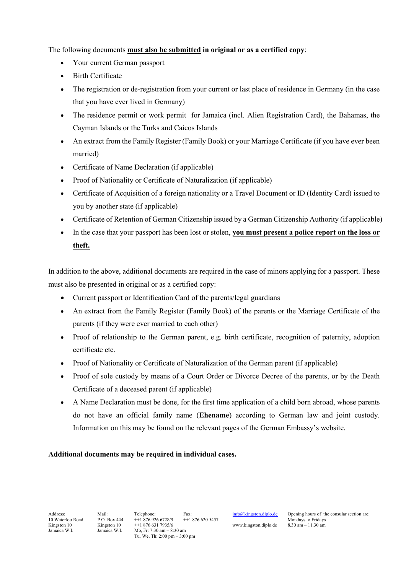The following documents **must also be submitted in original or as a certified copy**:

- Your current German passport
- Birth Certificate
- The registration or de-registration from your current or last place of residence in Germany (in the case that you have ever lived in Germany)
- The residence permit or work permit for Jamaica (incl. Alien Registration Card), the Bahamas, the Cayman Islands or the Turks and Caicos Islands
- An extract from the Family Register (Family Book) or your Marriage Certificate (if you have ever been married)
- Certificate of Name Declaration (if applicable)
- Proof of Nationality or Certificate of Naturalization (if applicable)
- Certificate of Acquisition of a foreign nationality or a Travel Document or ID (Identity Card) issued to you by another state (if applicable)
- Certificate of Retention of German Citizenship issued by a German Citizenship Authority (if applicable)
- In the case that your passport has been lost or stolen, **you must present a police report on the loss or theft.**

In addition to the above, additional documents are required in the case of minors applying for a passport. These must also be presented in original or as a certified copy:

- Current passport or Identification Card of the parents/legal guardians
- An extract from the Family Register (Family Book) of the parents or the Marriage Certificate of the parents (if they were ever married to each other)
- Proof of relationship to the German parent, e.g. birth certificate, recognition of paternity, adoption certificate etc.
- Proof of Nationality or Certificate of Naturalization of the German parent (if applicable)
- Proof of sole custody by means of a Court Order or Divorce Decree of the parents, or by the Death Certificate of a deceased parent (if applicable)
- A Name Declaration must be done, for the first time application of a child born abroad, whose parents do not have an official family name (**Ehename**) according to German law and joint custody. Information on this may be found on the relevant pages of the German Embassy's website.

## **Additional documents may be required in individual cases.**

10 H + 1 876 926 6728/9 + + 1 876 620 5457<br>
10 H + 1 876 631 7935/6 + 1 876 620 5457 www.kingston.diplo.de 8.30 am - 11.30 am Kingston 10 Kingston 10 ++1 876 631 7935/6 www.kingston.diplo.de 8.30 am – 11.30 am Jamaica W.I. Mo, Fr: 7:30 am – 8:30 am Mo, Fr: 7:30 am – 8:30 am Tu, We, Th: 2:00 pm – 3:00 pm

Address: Mail: Telephone: Fax:  $\frac{\text{info@kingston.diplo.de}}{10 \text{Waterloo Road}}$  $\frac{\text{info@kingston.diplo.de}}{10 \text{Waterloo Road}}$  $\frac{\text{info@kingston.diplo.de}}{10 \text{Waterloo Road}}$  Opening hours of the consular section are: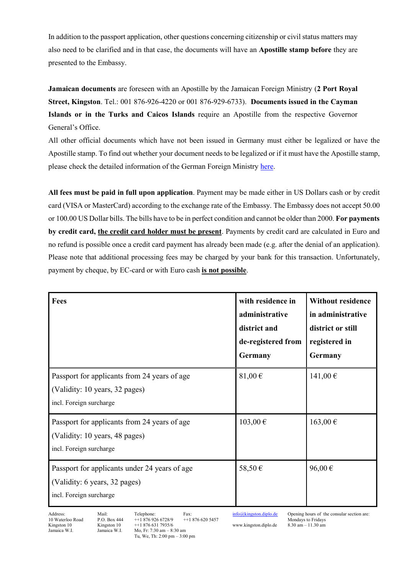In addition to the passport application, other questions concerning citizenship or civil status matters may also need to be clarified and in that case, the documents will have an **Apostille stamp before** they are presented to the Embassy.

**Jamaican documents** are foreseen with an Apostille by the Jamaican Foreign Ministry (**2 Port Royal Street, Kingston**. Tel.: 001 876-926-4220 or 001 876-929-6733). **Documents issued in the Cayman Islands or in the Turks and Caicos Islands** require an Apostille from the respective Governor General's Office.

All other official documents which have not been issued in Germany must either be legalized or have the Apostille stamp. To find out whether your document needs to be legalized or if it must have the Apostille stamp, please check the detailed information of the German Foreign Ministry [here.](https://www.auswaertiges-amt.de/en/newsroom/konsularisches/urkundenverkehrallgemeines-node)

**All fees must be paid in full upon application**. Payment may be made either in US Dollars cash or by credit card (VISA or MasterCard) according to the exchange rate of the Embassy. The Embassy does not accept 50.00 or 100.00 US Dollar bills. The bills have to be in perfect condition and cannot be older than 2000. **For payments by credit card, the credit card holder must be present**. Payments by credit card are calculated in Euro and no refund is possible once a credit card payment has already been made (e.g. after the denial of an application). Please note that additional processing fees may be charged by your bank for this transaction. Unfortunately, payment by cheque, by EC-card or with Euro cash **is not possible**.

| Fees                                                                                                      | with residence in<br>administrative<br>district and<br>de-registered from<br>Germany | <b>Without residence</b><br>in administrative<br>district or still<br>registered in<br>Germany |
|-----------------------------------------------------------------------------------------------------------|--------------------------------------------------------------------------------------|------------------------------------------------------------------------------------------------|
| Passport for applicants from 24 years of age<br>(Validity: 10 years, 32 pages)<br>incl. Foreign surcharge | 81,00 $\xi$                                                                          | 141,00€                                                                                        |
| Passport for applicants from 24 years of age<br>(Validity: 10 years, 48 pages)<br>incl. Foreign surcharge | $103,00 \in$                                                                         | $163,00 \in$                                                                                   |
| Passport for applicants under 24 years of age<br>(Validity: 6 years, 32 pages)<br>incl. Foreign surcharge | 58,50€                                                                               | 96,00€                                                                                         |

Kingston 10 Kingston 10 ++1 876 631 7935/6 www.kingston.diplo.de 8.30 am – 11.30 am<br>
Jamaica W.I. Mo. Fr. 7:30 am – 8:30 am Mo, Fr: 7:30 am – 8:30 am Tu, We, Th: 2:00 pm – 3:00 pm

Address: Mail: Telephone: Fax:  $\frac{\text{info@kingston.diplo.de}}{10 \text{Waterloo Road}}$  $\frac{\text{info@kingston.diplo.de}}{10 \text{Waterloo Road}}$  $\frac{\text{info@kingston.diplo.de}}{10 \text{Waterloo Road}}$  Opening hours of the consular section are: Mondays to Fridays